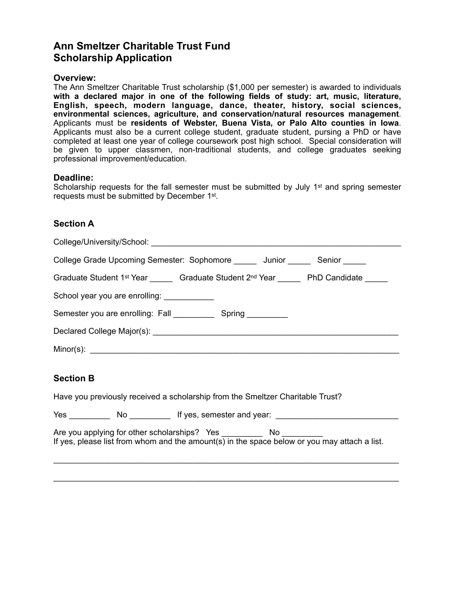# **Ann Smeltzer Charitable Trust Fund Scholarship Application**

### **Overview:**

The Ann Smeltzer Charitable Trust scholarship (\$1,000 per semester) is awarded to individuals **with a declared major in one of the following fields of study: art, music, literature, English, speech, modern language, dance, theater, history, social sciences, environmental sciences, agriculture, and conservation/natural resources management**. Applicants must be **residents of Webster, Buena Vista, or Palo Alto counties in Iowa**. Applicants must also be a current college student, graduate student, pursing a PhD or have completed at least one year of college coursework post high school. Special consideration will be given to upper classmen, non-traditional students, and college graduates seeking professional improvement/education.

#### **Deadline:**

Scholarship requests for the fall semester must be submitted by July 1<sup>st</sup> and spring semester requests must be submitted by December 1st.

### **Section A**

| College Grade Upcoming Semester: Sophomore _______ Junior _______ Senior ______              |
|----------------------------------------------------------------------------------------------|
| Graduate Student 1st Year _______ Graduate Student 2nd Year ______ PhD Candidate _____       |
| School year you are enrolling: ____________                                                  |
| Semester you are enrolling: Fall ______________ Spring __________                            |
|                                                                                              |
|                                                                                              |
| <b>Section B</b>                                                                             |
| Have you previously received a scholarship from the Smeltzer Charitable Trust?               |
| Yes _____________ No _____________ If yes, semester and year: ___________________            |
| If yes, please list from whom and the amount(s) in the space below or you may attach a list. |
|                                                                                              |

\_\_\_\_\_\_\_\_\_\_\_\_\_\_\_\_\_\_\_\_\_\_\_\_\_\_\_\_\_\_\_\_\_\_\_\_\_\_\_\_\_\_\_\_\_\_\_\_\_\_\_\_\_\_\_\_\_\_\_\_\_\_\_\_\_\_\_\_\_\_\_\_\_\_\_\_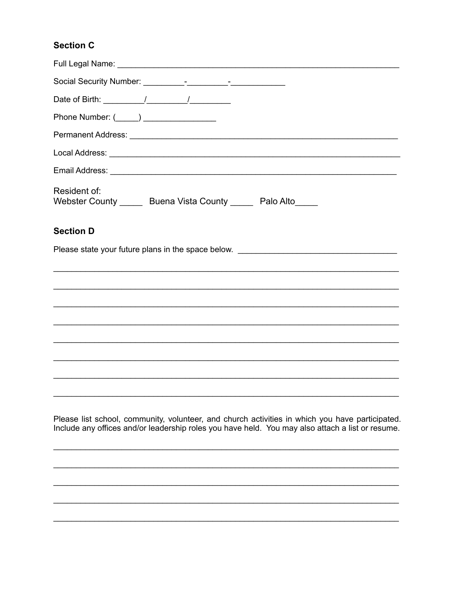## **Section C**

| Phone Number: (_____) _________________                                                                                                                                                             |
|-----------------------------------------------------------------------------------------------------------------------------------------------------------------------------------------------------|
|                                                                                                                                                                                                     |
|                                                                                                                                                                                                     |
|                                                                                                                                                                                                     |
| Resident of:<br>Webster County ______ Buena Vista County _____ Palo Alto_____                                                                                                                       |
| <b>Section D</b>                                                                                                                                                                                    |
| Please state your future plans in the space below. ______________________________                                                                                                                   |
|                                                                                                                                                                                                     |
|                                                                                                                                                                                                     |
|                                                                                                                                                                                                     |
|                                                                                                                                                                                                     |
|                                                                                                                                                                                                     |
|                                                                                                                                                                                                     |
|                                                                                                                                                                                                     |
|                                                                                                                                                                                                     |
| Please list school, community, volunteer, and church activities in which you have participated.<br>Include any offices and/or leadership roles you have held. You may also attach a list or resume. |
|                                                                                                                                                                                                     |
|                                                                                                                                                                                                     |